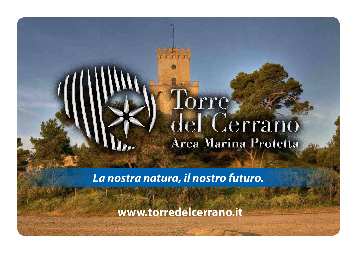# orre del Cerrano Area Marina Protetta

*La nostra natura, il nostro futuro.*

**www.torredelcerrano.it**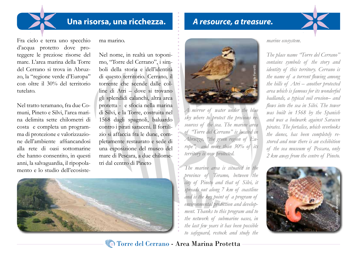#### **Una risorsa, una ricchezza.**

Fra cielo e terra uno specchio d'acqua protetto dove proteggere le preziose risorse del mare. L'area marina della Torre del Cerrano si trova in Abruzzo, la "regione verde d'Europa" con oltre il 30% del territorio tutelato.

Nel tratto teramano, fra due Comuni, Pineto e Silvi, l'area marina delimita sette chilometri di costa e completa un programma di protezione e valorizzazione dell'ambiente affiancandosi alla rete di oasi sottomarine che hanno consentito, in questi anni, la salvaguardia, il ripopolamento e lo studio dell'ecosistema marino.

Nel nome, in realtà un toponimo, "Torre del Cerrano", i simboli della storia e dell'identità di questo territorio. Cerrano, il torrente che scende dalle colline di Atri – dove si trovano gli splendidi calanchi, altra area protetta - e sfocia nella marina di Silvi, e la Torre, costruita nel 1568 dagli spagnoli, baluardo contro i pirati saraceni. Il fortilizio si affaccia fra le dune, completamente restaurato e sede di una esposizione del museo del mare di Pescara, a due chilometri dal centro di Pineto





*A resource, a treasure.*

*A mirror of water under the blue sky where to protect the precious resources of the sea. The marine area of "Torre del Cerrano" is located in Abruzzo, "the green region of Europe", and more than 30% of its territory is now protected.*

*The marine area is situated in the province of Teramo, between the city of Pineto and that of Silvi, it spreads out along 7 km of coastline and is the key point of a program of environmental protection and development. Thanks to this program and to the network of submarine oases, in the last few years it has been possible to safeguard, restock and study the* 

*marine ecosystem.*

*The place name "Torre del Cerrano" contains symbols of the story and identity of this territory. Cerrano is the name of a torrent flowing among the hills of Atri – another protected area which is famous for its wonderful badlands, a typical soil erosion– and flows into the sea in Silvi. The tower was built in 1568 by the Spanish and was a bulwark against Saracen pirates. The fortalice, which overlooks the dunes, has been completely restored and now there is an exhibition of the sea museum of Pescara, only 2 km away from the centre of Pineto.*



Torre del Cerrano - Area Marina Protetta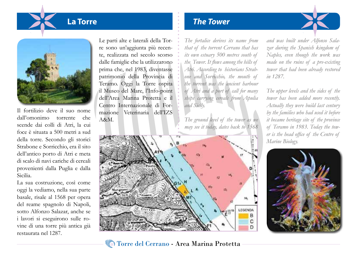

Il fortilizio deve il suo nome dall'omonimo torrente che scende dai colli di Atri, la cui foce è situata a 500 metri a sud della torre. Secondo gli storici Strabone e Sorricchio, era il sito dell'antico porto di Atri e meta di scalo di navi cariche di cereali provenienti dalla Puglia e dalla Sicilia.

La sua costruzione, così come oggi la vediamo, nella sua parte basale, risale al 1568 per opera del reame spagnolo di Napoli, sotto Alfonzo Salazar, anche se i lavori si eseguirono sulle rovine di una torre più antica già restaurata nel 1287.

Le parti alte e laterali della Torre sono un'aggiunta più recente, realizzata nel secolo scorso dalle famiglie che la utilizzarono prima che, nel 1983, diventasse patrimonio della Provincia di Teramo. Oggi la Torre ospita il Museo del Mare, l'Info-point dell'Area Marina Protetta e il Centro Internazionale di Formazione Veterinaria dell'IZS A&M.

### **La Torre** *The Tower*

*The fortalice derives its name from that of the torrent Cerrano that has its own estuary 500 metres south of the Tower. It flows among the hills of Atri. According to historians Strabone and Sorricchio, the mouth of the torrent was the ancient harbour of Atri and a port of call for many ships carrying cereals from Apulia and Sicily.*

*The ground level of the tower as we may see it today, dates back to 1568* 



*The upper levels and the sides of the tower has been added more recently. Actually they were build last century by the families who had used it before it became heritage site of the province of Teramo in 1983. Today the tower is the head office of the Centre of Marine Biology.*

*and was built under Alfonso Sala-*





#### Torre del Cerrano - Area Marina Protetta